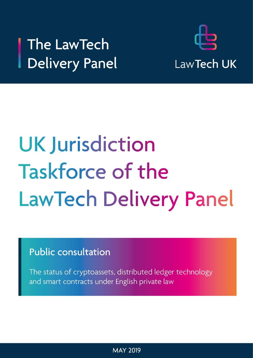# The LawTech Delivery Panel



# **UK Jurisdiction Taskforce of the** LawTech Delivery Panel

**Public consultation** 

The status of cryptoassets, distributed ledger technology and smart contracts under English private law

**MAY 2019**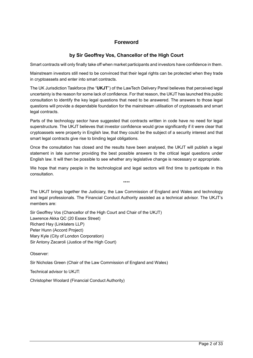# <span id="page-1-0"></span>**Foreword**

# **by Sir Geoffrey Vos, Chancellor of the High Court**

Smart contracts will only finally take off when market participants and investors have confidence in them.

Mainstream investors still need to be convinced that their legal rights can be protected when they trade in cryptoassets and enter into smart contracts.

The UK Jurisdiction Taskforce (the "**UKJT**") of the LawTech Delivery Panel believes that perceived legal uncertainty is the reason for some lack of confidence. For that reason, the UKJT has launched this public consultation to identify the key legal questions that need to be answered. The answers to those legal questions will provide a dependable foundation for the mainstream utilisation of cryptoassets and smart legal contracts.

Parts of the technology sector have suggested that contracts written in code have no need for legal superstructure. The UKJT believes that investor confidence would grow significantly if it were clear that cryptoassets were property in English law, that they could be the subject of a security interest and that smart legal contracts give rise to binding legal obligations.

Once the consultation has closed and the results have been analysed, the UKJT will publish a legal statement in late summer providing the best possible answers to the critical legal questions under English law. It will then be possible to see whether any legislative change is necessary or appropriate.

We hope that many people in the technological and legal sectors will find time to participate in this consultation.

\*\*\*\*

The UKJT brings together the Judiciary, the Law Commission of England and Wales and technology and legal professionals. The Financial Conduct Authority assisted as a technical advisor. The UKJT's members are:

Sir Geoffrey Vos (Chancellor of the High Court and Chair of the UKJT) Lawrence Akka QC (20 Essex Street) Richard Hay (Linklaters LLP) Peter Hunn (Accord Project) Mary Kyle (City of London Corporation) Sir Antony Zacaroli (Justice of the High Court)

Observer:

Sir Nicholas Green (Chair of the Law Commission of England and Wales)

Technical advisor to UKJT:

Christopher Woolard (Financial Conduct Authority)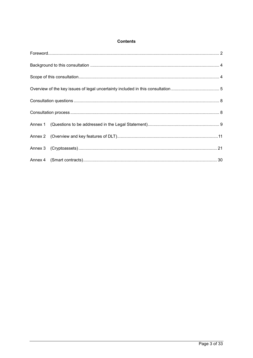# **Contents**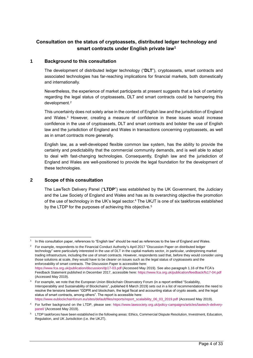# **Consultation on the status of cryptoassets, distributed ledger technology and smart contracts under English private law<sup>1</sup>**

# **1 Background to this consultation**

<span id="page-3-0"></span>The development of distributed ledger technology ("**DLT**"), cryptoassets, smart contracts and associated technologies has far-reaching implications for financial markets, both domestically and internationally.

Nevertheless, the experience of market participants at present suggests that a lack of certainty regarding the legal status of cryptoassets, DLT and smart contracts could be hampering this development. 2

This uncertainty does not solely arise in the context of English law and the jurisdiction of England and Wales.<sup>3</sup> However, creating a measure of confidence in these issues would increase confidence in the use of cryptoassets, DLT and smart contracts and bolster the use of English law and the jurisdiction of England and Wales in transactions concerning cryptoassets, as well as in smart contracts more generally.

English law, as a well-developed flexible common law system, has the ability to provide the certainty and predictability that the commercial community demands, and is well able to adapt to deal with fast-changing technologies. Consequently, English law and the jurisdiction of England and Wales are well-positioned to provide the legal foundation for the development of these technologies.

# **2 Scope of this consultation**

l

<span id="page-3-1"></span>The LawTech Delivery Panel ("**LTDP**") was established by the UK Government, the Judiciary and the Law Society of England and Wales and has as its overarching objective the promotion of the use of technology in the UK's legal sector. <sup>4</sup> The UKJT is one of six taskforces established by the LTDP for the purposes of achieving this objective.<sup>5</sup>

<sup>2</sup> For example, respondents to the Financial Conduct Authority's April 2017 "Discussion Paper on distributed ledger technology" were particularly interested in the use of DLT in the capital markets sector, in particular, underpinning market trading infrastructure, including the use of smart contracts. However, respondents said that, before they would consider using those solutions at scale, they would have to be clearer on issues such as the legal status of cryptoassets and the enforceability of smart contracts. The Discussion Paper is accessible here: <https://www.fca.org.uk/publication/discussion/dp17-03.pdf> (Accessed May 2019). See also paragraph 1.16 of the FCA's Feedback Statement published in December 2017, accessible here[: https://www.fca.org.uk/publication/feedback/fs17-04.pdf](https://www.fca.org.uk/publication/feedback/fs17-04.pdf) (Accessed May 2019).

<sup>1</sup> In this consultation paper, references to "English law" should be read as references to the law of England and Wales.

<sup>3</sup> For example, we note that the European Union Blockchain Observatory Forum (in a report entitled "Scalability, Interoperability and Sustainability of Blockchains", published 6 March 2019) sets out in a list of recommendations the need to resolve the tensions between "GDPR and blockchain, the legal fiscal and accounting status of crypto assets, and the legal status of smart contracts, among others". The report is accessible here: [https://www.eublockchainforum.eu/sites/default/files/reports/report\\_scalaibility\\_06\\_03\\_2019.pdf](https://www.eublockchainforum.eu/sites/default/files/reports/report_scalaibility_06_03_2019.pdf) (Accessed May 2019).

<sup>4</sup> For further background on the LTDP, please see: [https://www.lawsociety.org.uk/policy-campaigns/articles/lawtech-delivery](https://www.lawsociety.org.uk/policy-campaigns/articles/lawtech-delivery-panel/)[panel/](https://www.lawsociety.org.uk/policy-campaigns/articles/lawtech-delivery-panel/) (Accessed May 2019).

<sup>5</sup> LTDP taskforces have been established in the following areas: Ethics, Commercial Dispute Resolution, Investment, Education, Regulation, and UK Jurisdiction (i.e. the UKJT).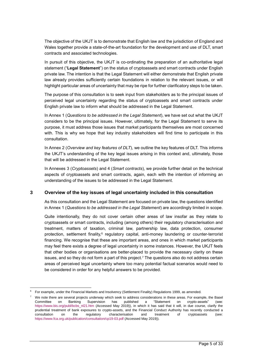The objective of the UKJT is to demonstrate that English law and the jurisdiction of England and Wales together provide a state-of-the-art foundation for the development and use of DLT, smart contracts and associated technologies.

In pursuit of this objective, the UKJT is co-ordinating the preparation of an authoritative legal statement ("**Legal Statement**") on the status of cryptoassets and smart contracts under English private law. The intention is that the Legal Statement will either demonstrate that English private law already provides sufficiently certain foundations in relation to the relevant issues, or will highlight particular areas of uncertainty that may be ripe for further clarificatory steps to be taken.

The purpose of this consultation is to seek input from stakeholders as to the principal issues of perceived legal uncertainty regarding the status of cryptoassets and smart contracts under English private law to inform what should be addressed in the Legal Statement.

In Annex 1 (*Questions to be addressed in the Legal Statement*), we have set out what the UKJT considers to be the principal issues. However, ultimately, for the Legal Statement to serve its purpose, it must address those issues that market participants themselves are most concerned with. This is why we hope that key industry stakeholders will find time to participate in this consultation.

In Annex 2 (*Overview and key features of DLT*), we outline the key features of DLT. This informs the UKJT's understanding of the key legal issues arising in this context and, ultimately, those that will be addressed in the Legal Statement.

In Annexes 3 (*Cryptoassets*) and 4 (*Smart contracts*), we provide further detail on the technical aspects of cryptoassets and smart contracts, again, each with the intention of informing an understanding of the issues to be addressed in the Legal Statement.

#### **3 Overview of the key issues of legal uncertainty included in this consultation**

<span id="page-4-0"></span>As this consultation and the Legal Statement are focused on private law, the questions identified in Annex 1 (*Questions to be addressed in the Legal Statement*) are accordingly limited in scope.

Quite intentionally, they do not cover certain other areas of law insofar as they relate to cryptoassets or smart contracts, including (among others) their regulatory characterisation and treatment, matters of taxation, criminal law, partnership law, data protection, consumer protection, settlement finality,<sup>6</sup> regulatory capital, anti-money laundering or counter-terrorist financing. We recognise that these are important areas, and ones in which market participants may feel there exists a degree of legal uncertainty in some instances. However, the UKJT feels that other bodies or organisations are better-placed to provide the necessary clarity on these issues, and so they do not form a part of this project.<sup>7</sup> The questions also do not address certain areas of perceived legal uncertainty where too many potential factual scenarios would need to be considered in order for any helpful answers to be provided.

<sup>6</sup> For example, under the Financial Markets and Insolvency (Settlement Finality) Regulations 1999, as amended.

<sup>7</sup> We note there are several projects underway which seek to address considerations in these areas. For example, the Basel Committee on Banking Supervision has published a "Statement on crypto-assets" (see: [https://www.bis.org/publ/bcbs\\_nl21.htm](https://www.bis.org/publ/bcbs_nl21.htm) (Accessed May 2019)), in which it has said that it will, in due course, clarify the prudential treatment of bank exposures to crypto-assets, and the Financial Conduct Authority has recently conducted a consultation on the regulatory characterisation and treatment of cryptoassets (see: <https://www.fca.org.uk/publication/consultation/cp19-03.pdf> (Accessed May 2019)).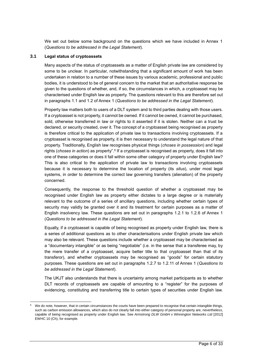We set out below some background on the questions which we have included in Annex 1 (*Questions to be addressed in the Legal Statement*).

#### **3.1 Legal status of cryptoassets**

l

Many aspects of the status of cryptoassets as a matter of English private law are considered by some to be unclear. In particular, notwithstanding that a significant amount of work has been undertaken in relation to a number of these issues by various academic, professional and public bodies, it is understood to be of general concern to the market that an authoritative response be given to the questions of whether, and, if so, the circumstances in which, a cryptoasset may be characterised under English law as property. The questions relevant to this are therefore set out in paragraphs 1.1 and 1.2 of Annex 1 (*Questions to be addressed in the Legal Statement*).

Property law matters both to users of a DLT system and to third parties dealing with those users. If a cryptoasset is not property, it cannot be owned. If it cannot be owned, it cannot be purchased, sold, otherwise transferred in law or rights to it asserted if it is stolen. Neither can a trust be declared, or security created, over it. The concept of a cryptoasset being recognised as property is therefore critical to the application of private law to transactions involving cryptoassets. If a cryptoasset is recognised as property, it is then necessary to understand the legal nature of that property. Traditionally, English law recognises physical things (*choses in possession*) and legal rights (*choses in action*) as property".<sup>8</sup> If a cryptoasset is recognised as property, does it fall into one of these categories or does it fall within some other category of property under English law? This is also critical to the application of private law to transactions involving cryptoassets because it is necessary to determine the location of property (its *situs*), under most legal systems, in order to determine the correct law governing transfers (alienation) of the property concerned.

Consequently, the response to the threshold question of whether a cryptoasset may be recognised under English law as property either dictates to a large degree or is materially relevant to the outcome of a series of ancillary questions, including whether certain types of security may validly be granted over it and its treatment for certain purposes as a matter of English insolvency law. These questions are set out in paragraphs 1.2.1 to 1.2.6 of Annex 1 (*Questions to be addressed in the Legal Statement*).

Equally, if a cryptoasset is capable of being recognised as property under English law, there is a series of additional questions as to other characterisations under English private law which may also be relevant. These questions include whether a cryptoasset may be characterised as a "documentary intangible" or as being "negotiable" (i.e. in the sense that a transferee may, by the mere transfer of a cryptoasset, acquire better title to that cryptoasset than that of its transferor), and whether cryptoassets may be recognised as "goods" for certain statutory purposes. These questions are set out in paragraphs 1.2.7 to 1.2.11 of Annex 1 (*Questions to be addressed in the Legal Statement*).

The UKJT also understands that there is uncertainty among market participants as to whether DLT records of cryptoassets are capable of amounting to a "register" for the purposes of evidencing, constituting and transferring title to certain types of securities under English law.

We do note, however, that in certain circumstances the courts have been prepared to recognise that certain intangible things, such as carbon emission allowances, which also do not clearly fall into either category of personal property are, nevertheless, capable of being recognised as property under English law. See *Armstrong DLW GmbH v Winnington Networks Ltd* [2012] EWHC 10 (Ch), for example.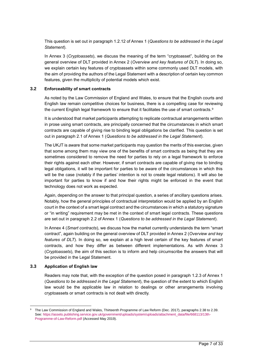This question is set out in paragraph 1.2.12 of Annex 1 (*Questions to be addressed in the Legal Statement*).

In Annex 3 (*Cryptoassets*), we discuss the meaning of the term "cryptoasset", building on the general overview of DLT provided in Annex 2 (*Overview and key features of DLT*). In doing so, we explain certain key features of cryptoassets within some commonly used DLT models, with the aim of providing the authors of the Legal Statement with a description of certain key common features, given the multiplicity of potential models which exist.

#### **3.2 Enforceability of smart contracts**

As noted by the Law Commission of England and Wales, to ensure that the English courts and English law remain competitive choices for business, there is a compelling case for reviewing the current English legal framework to ensure that it facilitates the use of smart contracts.<sup>9</sup>

It is understood that market participants attempting to replicate contractual arrangements written in prose using smart contracts, are principally concerned that the circumstances in which smart contracts are capable of giving rise to binding legal obligations be clarified. This question is set out in paragraph 2.1 of Annex 1 (*Questions to be addressed in the Legal Statement*).

The UKJT is aware that some market participants may question the merits of this exercise, given that some among them may view one of the benefits of smart contracts as being that they are sometimes considered to remove the need for parties to rely on a legal framework to enforce their rights against each other. However, if smart contracts are capable of giving rise to binding legal obligations, it will be important for parties to be aware of the circumstances in which this will be the case (notably if the parties' intention is not to create legal relations). It will also be important for parties to know if and how their rights might be enforced in the event that technology does not work as expected.

Again, depending on the answer to that principal question, a series of ancillary questions arises. Notably, how the general principles of contractual interpretation would be applied by an English court in the context of a smart legal contract and the circumstances in which a statutory signature or "in writing" requirement may be met in the context of smart legal contracts. These questions are set out in paragraph 2.2 of Annex 1 (*Questions to be addressed in the Legal Statement*).

In Annex 4 (*Smart contracts*), we discuss how the market currently understands the term "smart contract", again building on the general overview of DLT provided in Annex 2 (*Overview and key features of DLT*). In doing so, we explain at a high level certain of the key features of smart contracts, and how they differ as between different implementations. As with Annex 3 (*Cryptoassets*), the aim of this section is to inform and help circumscribe the answers that will be provided in the Legal Statement.

#### **3.3 Application of English law**

l

Readers may note that, with the exception of the question posed in paragraph 1.2.3 of Annex 1 (*Questions to be addressed in the Legal Statement*), the question of the extent to which English law would be the applicable law in relation to dealings or other arrangements involving cryptoassets or smart contracts is not dealt with directly.

<sup>9</sup> The Law Commission of England and Wales, Thirteenth Programme of Law Reform (Dec. 2017), paragraphs 2.38 to 2.39. See: [https://assets.publishing.service.gov.uk/government/uploads/system/uploads/attachment\\_data/file/668113/13th-](https://assets.publishing.service.gov.uk/government/uploads/system/uploads/attachment_data/file/668113/13th-Programme-of-Law-Reform.pdf)[Programme-of-Law-Reform.pdf](https://assets.publishing.service.gov.uk/government/uploads/system/uploads/attachment_data/file/668113/13th-Programme-of-Law-Reform.pdf) (Accessed May 2019).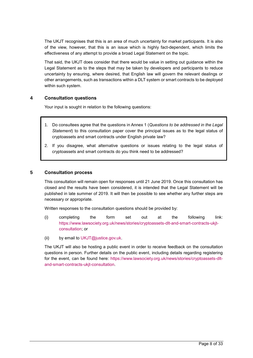The UKJT recognises that this is an area of much uncertainty for market participants. It is also of the view, however, that this is an issue which is highly fact-dependent, which limits the effectiveness of any attempt to provide a broad Legal Statement on the topic.

That said, the UKJT does consider that there would be value in setting out guidance within the Legal Statement as to the steps that may be taken by developers and participants to reduce uncertainty by ensuring, where desired, that English law will govern the relevant dealings or other arrangements, such as transactions within a DLT system or smart contracts to be deployed within such system.

#### **4 Consultation questions**

<span id="page-7-0"></span>Your input is sought in relation to the following questions:

- 1. Do consultees agree that the questions in Annex 1 (*Questions to be addressed in the Legal Statement*) to this consultation paper cover the principal issues as to the legal status of cryptoassets and smart contracts under English private law?
- 2. If you disagree, what alternative questions or issues relating to the legal status of cryptoassets and smart contracts do you think need to be addressed?

#### **5 Consultation process**

<span id="page-7-1"></span>This consultation will remain open for responses until 21 June 2019. Once this consultation has closed and the results have been considered, it is intended that the Legal Statement will be published in late summer of 2019. It will then be possible to see whether any further steps are necessary or appropriate.

Written responses to the consultation questions should be provided by:

- (i) completing the form set out at the following link: [https://www.lawsociety.org.uk/news/stories/cryptoassets-dlt-and-smart-contracts-ukjt](https://www.lawsociety.org.uk/news/stories/cryptoassets-dlt-and-smart-contracts-ukjt-consultation)[consultation;](https://www.lawsociety.org.uk/news/stories/cryptoassets-dlt-and-smart-contracts-ukjt-consultation) or
- (ii) by email to [UKJT@justice.gov.uk.](mailto:UKJT@justice.gov.uk)

The UKJT will also be hosting a public event in order to receive feedback on the consultation questions in person. Further details on the public event, including details regarding registering for the event, can be found here: [https://www.lawsociety.org.uk/news/stories/cryptoassets-dlt](https://www.lawsociety.org.uk/news/stories/cryptoassets-dlt-and-smart-contracts-ukjt-consultation)[and-smart-contracts-ukjt-consultation.](https://www.lawsociety.org.uk/news/stories/cryptoassets-dlt-and-smart-contracts-ukjt-consultation)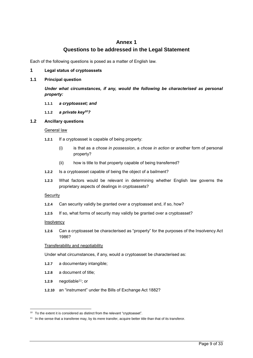# <span id="page-8-0"></span>**Annex 1 Questions to be addressed in the Legal Statement**

Each of the following questions is posed as a matter of English law.

#### **1 Legal status of cryptoassets**

#### **1.1 Principal question**

*Under what circumstances, if any, would the following be characterised as personal property:*

#### **1.1.1** *a cryptoasset; and*

**1.1.2** *a private key<sup>10</sup>?*

#### **1.2 Ancillary questions**

#### General law

- **1.2.1** If a cryptoasset is capable of being property:
	- (i) is that as a *chose in possession*, a *chose in action* or another form of personal property?
	- (ii) how is title to that property capable of being transferred?
- **1.2.2** Is a cryptoasset capable of being the object of a bailment?
- **1.2.3** What factors would be relevant in determining whether English law governs the proprietary aspects of dealings in cryptoassets?

#### **Security**

- **1.2.4** Can security validly be granted over a cryptoasset and, if so, how?
- **1.2.5** If so, what forms of security may validly be granted over a cryptoasset?

#### **Insolvency**

**1.2.6** Can a cryptoasset be characterised as "property" for the purposes of the Insolvency Act 1986?

#### Transferability and negotiability

Under what circumstances, if any, would a cryptoasset be characterised as:

- **1.2.7** a documentary intangible;
- **1.2.8** a document of title;
- **1.2.9** negotiable<sup>11</sup>; or

l

**1.2.10** an "instrument" under the Bills of Exchange Act 1882?

<sup>&</sup>lt;sup>10</sup> To the extent it is considered as distinct from the relevant "cryptoasset".

<sup>&</sup>lt;sup>11</sup> In the sense that a transferee may, by its mere transfer, acquire better title than that of its transferor.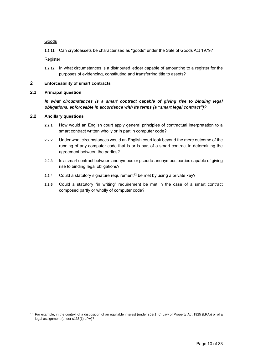#### Goods

**1.2.11** Can cryptoassets be characterised as "goods" under the Sale of Goods Act 1979?

Register

**1.2.12** In what circumstances is a distributed ledger capable of amounting to a register for the purposes of evidencing, constituting and transferring title to assets?

# **2 Enforceability of smart contracts**

#### **2.1 Principal question**

#### *In what circumstances is a smart contract capable of giving rise to binding legal obligations, enforceable in accordance with its terms (a "smart legal contract")?*

#### **2.2 Ancillary questions**

- **2.2.1** How would an English court apply general principles of contractual interpretation to a smart contract written wholly or in part in computer code?
- **2.2.2** Under what circumstances would an English court look beyond the mere outcome of the running of any computer code that is or is part of a smart contract in determining the agreement between the parties?
- **2.2.3** Is a smart contract between anonymous or pseudo-anonymous parties capable of giving rise to binding legal obligations?
- **2.2.4** Could a statutory signature requirement<sup>12</sup> be met by using a private key?
- **2.2.5** Could a statutory "in writing" requirement be met in the case of a smart contract composed partly or wholly of computer code?

 $12$  For example, in the context of a disposition of an equitable interest (under s53(1)(c) Law of Property Act 1925 (LPA)) or of a legal assignment (under s136(1) LPA)?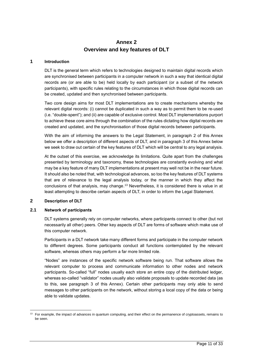# <span id="page-10-0"></span>**Annex 2 Overview and key features of DLT**

#### **1 Introduction**

DLT is the general term which refers to technologies designed to maintain digital records which are synchronised between participants in a computer network in such a way that identical digital records are (or are able to be) held locally by each participant (or a subset of the network participants), with specific rules relating to the circumstances in which those digital records can be created, updated and then synchronised between participants.

Two core design aims for most DLT implementations are to create mechanisms whereby the relevant digital records: (i) cannot be duplicated in such a way as to permit them to be re-used (i.e. "double-spent"); and (ii) are capable of exclusive control. Most DLT implementations purport to achieve these core aims through the combination of the rules dictating how digital records are created and updated, and the synchronisation of those digital records between participants.

With the aim of informing the answers to the Legal Statement, in paragraph 2 of this Annex below we offer a description of different aspects of DLT, and in paragraph 3 of this Annex below we seek to draw out certain of the key features of DLT which will be central to any legal analysis.

At the outset of this exercise, we acknowledge its limitations. Quite apart from the challenges presented by terminology and taxonomy, these technologies are constantly evolving and what may be a key feature of many DLT implementations at present may well not be in the near future. It should also be noted that, with technological advances, so too the key features of DLT systems that are of relevance to the legal analysis today, or the manner in which they affect the conclusions of that analysis, may change. <sup>13</sup> Nevertheless, it is considered there is value in at least attempting to describe certain aspects of DLT, in order to inform the Legal Statement.

#### **2 Description of DLT**

l

#### **2.1 Network of participants**

DLT systems generally rely on computer networks, where participants connect to other (but not necessarily all other) peers. Other key aspects of DLT are forms of software which make use of this computer network.

Participants in a DLT network take many different forms and participate in the computer network to different degrees. Some participants conduct all functions contemplated by the relevant software, whereas others may perform a far more limited role.

"Nodes" are instances of the specific network software being run. That software allows the relevant computer to process and communicate information to other nodes and network participants. So-called "full" nodes usually each store an entire copy of the distributed ledger, whereas so-called "validator" nodes usually also validate proposals to update recorded data (as to this, see paragraph 3 of this Annex). Certain other participants may only able to send messages to other participants on the network, without storing a local copy of the data or being able to validate updates.

<sup>&</sup>lt;sup>13</sup> For example, the impact of advances in quantum computing, and their effect on the permanence of cryptoassets, remains to be seen.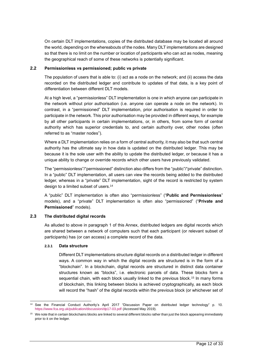On certain DLT implementations, copies of the distributed database may be located all around the world, depending on the whereabouts of the nodes. Many DLT implementations are designed so that there is no limit on the number or location of participants who can act as nodes, meaning the geographical reach of some of these networks is potentially significant.

#### **2.2 Permissionless vs permissioned; public vs private**

The population of users that is able to: (i) act as a node on the network; and (ii) access the data recorded on the distributed ledger and contribute to updates of that data, is a key point of differentiation between different DLT models.

At a high level, a "permissionless" DLT implementation is one in which anyone can participate in the network without prior authorisation (i.e. anyone can operate a node on the network). In contrast, in a "permissioned" DLT implementation, prior authorisation is required in order to participate in the network. This prior authorisation may be provided in different ways, for example by all other participants in certain implementations, or, in others, from some form of central authority which has superior credentials to, and certain authority over, other nodes (often referred to as "master nodes").

Where a DLT implementation relies on a form of central authority, it may also be that such central authority has the ultimate say in how data is updated on the distributed ledger. This may be because it is the sole user with the ability to update the distributed ledger, or because it has a unique ability to change or override records which other users have previously validated.

The "permissionless"/"permissioned" distinction also differs from the "public"/"private" distinction. In a "public" DLT implementation, all users can view the records being added to the distributed ledger, whereas in a "private" DLT implementation, sight of the record is restricted by system design to a limited subset of users.<sup>14</sup>

A "public" DLT implementation is often also "permissionless" ("**Public and Permissionless**" models), and a "private" DLT implementation is often also "permissioned" ("**Private and Permissioned**" models).

#### **2.3 The distributed digital records**

As alluded to above in paragraph 1 of this Annex, distributed ledgers are digital records which are shared between a network of computers such that each participant (or relevant subset of participants) has (or can access) a complete record of the data.

#### **2.3.1 Data structure**

Different DLT implementations structure digital records on a distributed ledger in different ways. A common way in which the digital records are structured is in the form of a "blockchain". In a blockchain, digital records are structured in distinct data container structures known as "blocks", i.e. electronic parcels of data. These blocks form a sequential chain, with each block usually linked to the previous block.<sup>15</sup> In many forms of blockchain, this linking between blocks is achieved cryptographically, as each block will record the "hash" of the digital records within the previous block (or whichever set of

l <sup>14</sup> See the Financial Conduct Authority's April 2017 "Discussion Paper on distributed ledger technology" p. 10. <https://www.fca.org.uk/publication/discussion/dp17-03.pdf> (Accessed May 2019).

<sup>&</sup>lt;sup>15</sup> We note that in certain blockchains blocks are linked to several different blocks rather than just the block appearing immediately prior to it on the ledger.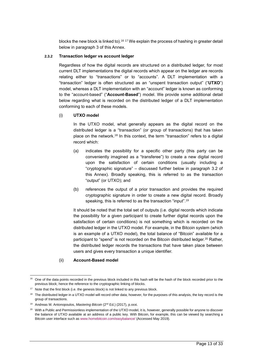blocks the new block is linked to).<sup>16 17</sup> We explain the process of hashing in greater detail below in paragraph 3 of this Annex.

#### **2.3.2 Transaction ledger vs account ledger**

Regardless of how the digital records are structured on a distributed ledger, for most current DLT implementations the digital records which appear on the ledger are records relating either to "transactions" or to "accounts". A DLT implementation with a "transaction" ledger is often structured as an "unspent transaction output" ("**UTXO**") model, whereas a DLT implementation with an "account" ledger is known as conforming to the "account-based" ("**Account-Based**") model. We provide some additional detail below regarding what is recorded on the distributed ledger of a DLT implementation conforming to each of these models.

#### (i) **UTXO model**

In the UTXO model, what generally appears as the digital record on the distributed ledger is a "transaction" (or group of transactions) that has taken place on the network.<sup>18</sup> In this context, the term "transaction" refers to a digital record which:

- (a) indicates the possibility for a specific other party (this party can be conveniently imagined as a "transferee") to create a new digital record upon the satisfaction of certain conditions (usually including a "cryptographic signature" – discussed further below in paragraph 3.2 of this Annex). Broadly speaking, this is referred to as the transaction "output" (or UTXO); and
- (b) references the output of a prior transaction and provides the required cryptographic signature in order to create a new digital record. Broadly speaking, this is referred to as the transaction "input".<sup>19</sup>

It should be noted that the total set of outputs (i.e. digital records which indicate the possibility for a given participant to create further digital records upon the satisfaction of certain conditions) is not something which is recorded on the distributed ledger in the UTXO model. For example, in the Bitcoin system (which is an example of a UTXO model), the total balance of "Bitcoin" available for a participant to "spend" is not recorded on the Bitcoin distributed ledger.<sup>20</sup> Rather, the distributed ledger records the transactions that have taken place between users and gives every transaction a unique identifier.

#### (ii) **Account-Based model**

<sup>&</sup>lt;sup>16</sup> One of the data points recorded in the previous block included in this hash will be the hash of the block recorded prior to the previous block; hence the reference to the cryptographic linking of blocks.

 $17$  Note that the first block (i.e. the genesis block) is not linked to any previous block.

<sup>&</sup>lt;sup>18</sup> The distributed ledger in a UTXO model will record other data; however, for the purposes of this analysis, the key record is the group of transactions.

<sup>19</sup> Andreas M. Antonopoulos, *Mastering Bitcoin* (2nd Ed.) (2017), p.xxxi.

<sup>&</sup>lt;sup>20</sup> With a Public and Permissionless implementation of the UTXO model, it is, however, generally possible for anyone to discover the balance of UTXO available at an address of a public key. With Bitcoin, for example, this can be viewed by searching a Bitcoin user interface such as [www.homebitcoin.com/easybalance/](http://www.homebitcoin.com/easybalance/) (Accessed May 2019).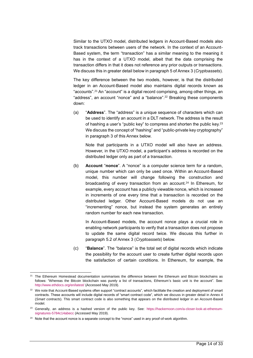Similar to the UTXO model, distributed ledgers in Account-Based models also track transactions between users of the network. In the context of an Account-Based system, the term "transaction" has a similar meaning to the meaning it has in the context of a UTXO model, albeit that the data comprising the transaction differs in that it does not reference any prior outputs or transactions. We discuss this in greater detail below in paragraph 5 of Annex 3 (*Cryptoassets*).

The key difference between the two models, however, is that the distributed ledger in an Account-Based model also maintains digital records known as "accounts". <sup>21</sup> An "account" is a digital record comprising, among other things, an "address", an account "nonce" and a "balance". <sup>22</sup> Breaking these components down:

(a) "**Address**". The "address" is a unique sequence of characters which can be used to identify an account in a DLT network. The address is the result of hashing a user's "public key" to compress and shorten the public key.<sup>23</sup> We discuss the concept of "hashing" and "public-private key cryptography" in paragraph 3 of this Annex below.

Note that participants in a UTXO model will also have an address. However, in the UTXO model, a participant's address is recorded on the distributed ledger only as part of a transaction.

(b) **Account** "**nonce**". A "nonce" is a computer science term for a random, unique number which can only be used once. Within an Account-Based model, this number will change following the construction and broadcasting of every transaction from an account.<sup>24</sup> In Ethereum, for example, every account has a publicly viewable nonce, which is increased in increments of one every time that a transaction is recorded on the distributed ledger. Other Account-Based models do not use an "incrementing" nonce, but instead the system generates an entirely random number for each new transaction.

In Account-Based models, the account nonce plays a crucial role in enabling network participants to verify that a transaction does not propose to update the same digital record twice. We discuss this further in paragraph 5.2 of Annex 3 (*Cryptoassets*) below.

(c) "**Balance**". The "balance" is the total set of digital records which indicate the possibility for the account user to create further digital records upon the satisfaction of certain conditions. In Ethereum, for example, the

<sup>&</sup>lt;sup>21</sup> The Ethereum Homestead documentation summarises the difference between the Ethereum and Bitcoin blockchains as follows: "Whereas the Bitcoin blockchain was purely a list of transactions, Ethereum's basic unit is the account". See: <http://www.ethdocs.org/en/latest/> (Accessed May 2019).

<sup>&</sup>lt;sup>22</sup> We note that Account-Based systems often support "contract accounts", which facilitate the creation and deployment of smart contracts. These accounts will include digital records of "smart contract code", which we discuss in greater detail in Annex 4 (*Smart contracts*). This smart contract code is also something that appears on the distributed ledger in an Account-Based model.

<sup>&</sup>lt;sup>23</sup> Generally, an address is a hashed version of the public key. See: [https://hackernoon.com/a-closer-look-at-ethereum](https://hackernoon.com/a-closer-look-at-ethereum-signatures-5784c14abecc)[signatures-5784c14abecc](https://hackernoon.com/a-closer-look-at-ethereum-signatures-5784c14abecc) (Accessed May 2019).

<sup>&</sup>lt;sup>24</sup> Note that the account nonce is a separate concept to the "nonce" used in any proof-of-work algorithm.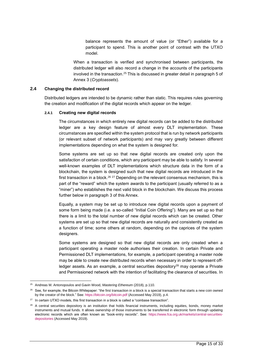balance represents the amount of value (or "Ether") available for a participant to spend. This is another point of contrast with the UTXO model.

When a transaction is verified and synchronised between participants, the distributed ledger will also record a change in the accounts of the participants involved in the transaction.<sup>25</sup> This is discussed in greater detail in paragraph 5 of Annex 3 (*Cryptoassets*).

#### **2.4 Changing the distributed record**

Distributed ledgers are intended to be dynamic rather than static. This requires rules governing the creation and modification of the digital records which appear on the ledger.

#### **2.4.1 Creating new digital records**

The circumstances in which entirely new digital records can be added to the distributed ledger are a key design feature of almost every DLT implementation. These circumstances are specified within the system protocol that is run by network participants (or relevant subset of network participants) and may vary greatly between different implementations depending on what the system is designed for.

Some systems are set up so that new digital records are created only upon the satisfaction of certain conditions, which any participant may be able to satisfy. In several well-known examples of DLT implementations which structure data in the form of a blockchain, the system is designed such that new digital records are introduced in the first transaction in a block.<sup>26 27</sup> Depending on the relevant consensus mechanism, this is part of the "reward" which the system awards to the participant (usually referred to as a "miner") who establishes the next valid block in the blockchain. We discuss this process further below in paragraph 3 of this Annex.

Equally, a system may be set up to introduce new digital records upon a payment of some form being made (i.e. a so-called "Initial Coin Offering"). Many are set up so that there is a limit to the total number of new digital records which can be created. Other systems are set up so that new digital records are naturally and consistently created as a function of time; some others at random, depending on the caprices of the system designers.

Some systems are designed so that new digital records are only created when a participant operating a master node authorises their creation. In certain Private and Permissioned DLT implementations, for example, a participant operating a master node may be able to create new distributed records when necessary in order to represent offledger assets. As an example, a central securities depository $28$  may operate a Private and Permissioned network with the intention of facilitating the clearance of securities. In

<sup>25</sup> Andreas M. Antonopoulos and Gavin Wood, *Mastering Ethereum* (2018), p.110.

<sup>&</sup>lt;sup>26</sup> See, for example, the Bitcoin Whitepaper: "the first transaction in a block is a special transaction that starts a new coin owned by the creator of the block." See[: https://bitcoin.org/bitcoin.pdf](https://bitcoin.org/bitcoin.pdf) (Accessed May 2019), p.4.

 $27$  In certain UTXO models, this first transaction in a block is called a "coinbase transaction".

<sup>&</sup>lt;sup>28</sup> A central securities depository is an institution that holds financial instruments, including equities, bonds, money market instruments and mutual funds. It allows ownership of those instruments to be transferred in electronic form through updating electronic records which are often known as "book-entry records". See: [https://www.fca.org.uk/markets/central-securities](https://www.fca.org.uk/markets/central-securities-depositories)[depositories](https://www.fca.org.uk/markets/central-securities-depositories) (Accessed May 2019).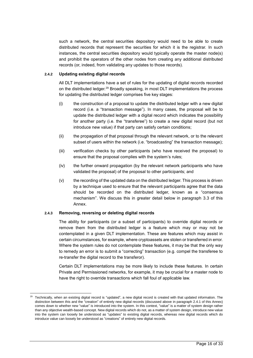such a network, the central securities depository would need to be able to create distributed records that represent the securities for which it is the registrar. In such instances, the central securities depository would typically operate the master node(s) and prohibit the operators of the other nodes from creating any additional distributed records (or, indeed, from validating any updates to those records).

#### **2.4.2 Updating existing digital records**

All DLT implementations have a set of rules for the updating of digital records recorded on the distributed ledger.<sup>29</sup> Broadly speaking, in most DLT implementations the process for updating the distributed ledger comprises five key stages:

- (i) the construction of a proposal to update the distributed ledger with a new digital record (i.e. a "transaction message"). In many cases, the proposal will be to update the distributed ledger with a digital record which indicates the possibility for another party (i.e. the "transferee") to create a new digital record (but not introduce new value) if that party can satisfy certain conditions;
- (ii) the propagation of that proposal through the relevant network, or to the relevant subset of users within the network (i.e. "broadcasting" the transaction message);
- (iii) verification checks by other participants (who have received the proposal) to ensure that the proposal complies with the system's rules;
- (iv) the further onward propagation (by the relevant network participants who have validated the proposal) of the proposal to other participants; and
- (v) the recording of the updated data on the distributed ledger. This process is driven by a technique used to ensure that the relevant participants agree that the data should be recorded on the distributed ledger, known as a "consensus mechanism". We discuss this in greater detail below in paragraph 3.3 of this Annex.

#### **2.4.3 Removing, reversing or deleting digital records**

l

The ability for participants (or a subset of participants) to override digital records or remove them from the distributed ledger is a feature which may or may not be contemplated in a given DLT implementation. These are features which may assist in certain circumstances, for example, where cryptoassets are stolen or transferred in error. Where the system rules do not contemplate these features, it may be that the only way to remedy an error is to submit a "correcting" transaction (e.g. compel the transferee to re-transfer the digital record to the transferor).

Certain DLT implementations may be more likely to include these features. In certain Private and Permissioned networks, for example, it may be crucial for a master node to have the right to override transactions which fall foul of applicable law.

 $29$  Technically, when an existing digital record is "updated", a new digital record is created with that updated information. The distinction between this and the "creation" of entirely new digital records (discussed above in paragraph 2.4.1 of this Annex) comes down to whether new "value" is introduced into the system. In this context, "value" is a matter of system design rather than any objective wealth-based concept. New digital records which do not, as a matter of system design, introduce new value into the system can loosely be understood as "updates" to existing digital records, whereas new digital records which do introduce value can loosely be understood as "creations" of entirely new digital records.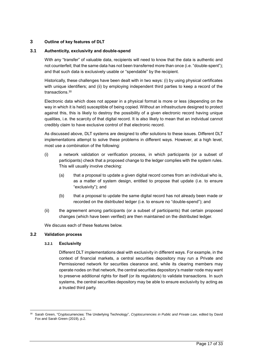#### **3 Outline of key features of DLT**

#### **3.1 Authenticity, exclusivity and double-spend**

With any "transfer" of valuable data, recipients will need to know that the data is authentic and not counterfeit; that the same data has not been transferred more than once (i.e. "double-spent"); and that such data is exclusively usable or "spendable" by the recipient.

Historically, these challenges have been dealt with in two ways: (i) by using physical certificates with unique identifiers; and (ii) by employing independent third parties to keep a record of the transactions.<sup>30</sup>

Electronic data which does not appear in a physical format is more or less (depending on the way in which it is held) susceptible of being copied. Without an infrastructure designed to protect against this, this is likely to destroy the possibility of a given electronic record having unique qualities, i.e. the scarcity of that digital record. It is also likely to mean that an individual cannot credibly claim to have exclusive control of that electronic record.

As discussed above, DLT systems are designed to offer solutions to these issues. Different DLT implementations attempt to solve these problems in different ways. However, at a high level, most use a combination of the following:

- (i) a network validation or verification process, in which participants (or a subset of participants) check that a proposed change to the ledger complies with the system rules. This will usually involve checking:
	- (a) that a proposal to update a given digital record comes from an individual who is, as a matter of system design, entitled to propose that update (i.e. to ensure "exclusivity"); and
	- (b) that a proposal to update the same digital record has not already been made or recorded on the distributed ledger (i.e. to ensure no "double-spend"); and
- (ii) the agreement among participants (or a subset of participants) that certain proposed changes (which have been verified) are then maintained on the distributed ledger.

We discuss each of these features below.

#### **3.2 Validation process**

l

#### **3.2.1 Exclusivity**

Different DLT implementations deal with exclusivity in different ways. For example, in the context of financial markets, a central securities depository may run a Private and Permissioned network for securities clearance and, while its clearing members may operate nodes on that network, the central securities depository's master node may want to preserve additional rights for itself (or its regulators) to validate transactions. In such systems, the central securities depository may be able to ensure exclusivity by acting as a trusted third party.

<sup>30</sup> Sarah Green, "Cryptocurrencies: The Underlying Technology", *Cryptocurrencies in Public and Private Law*, edited by David Fox and Sarah Green (2019), p.2.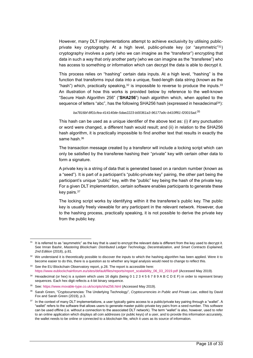However, many DLT implementations attempt to achieve exclusivity by utilising publicprivate key cryptography. At a high level, public-private key (or "asymmetric" <sup>31</sup>) cryptography involves a party (who we can imagine as the "transferor") encrypting that data in such a way that only another party (who we can imagine as the "transferee") who has access to something or information which can decrypt the data is able to decrypt it.

This process relies on "hashing" certain data inputs. At a high level, "hashing" is the function that transforms input data into a unique, fixed-length data string (known as the "hash") which, practically speaking, $3^2$  is impossible to reverse to produce the inputs.  $3^3$ An illustration of how this works is provided below by reference to the well-known "Secure Hash Algorithm 256" ("**SHA256**") hash algorithm which, when applied to the sequence of letters "abc", has the following SHA256 hash (expressed in hexadecimal<sup>34</sup>):

*ba7816bf-8f01cfea-414140de-5dae2223-b00361a3-96177a9c-b410ff61-f20015ad*. 35

This hash can be used as a unique identifier of the above text as: (i) if any punctuation or word were changed, a different hash would result; and (ii) in relation to the SHA256 hash algorithm, it is practically impossible to find another text that results in exactly the same hash.<sup>36</sup>

The transaction message created by a transferor will include a locking script which can only be satisfied by the transferee hashing their "private" key with certain other data to form a signature.

A private key is a string of data that is generated based on a random number (known as a "seed"). It is part of a participant's "public-private key" pairing, the other part being the participant's unique "public" key, with the "public" key being the hash of the private key. For a given DLT implementation, certain software enables participants to generate these key pairs.<sup>37</sup>

The locking script works by identifying within it the transferee's public key. The public key is usually freely viewable for any participant in the relevant network. However, due to the hashing process, practically speaking, it is not possible to derive the private key from the public key.

<sup>&</sup>lt;sup>31</sup> It is referred to as "asymmetric" as the key that is used to encrypt the relevant data is different from the key used to decrypt it. See Imran Bashir, *Mastering Blockchain: Distributed Ledger Technology, Decentralization, and Smart Contracts Explained, 2nd Edition* (2018), p.81.

<sup>32</sup> We understand it is theoretically possible to discover the inputs to which the hashing algorithm has been applied. Were it to become easier to do this, there is a question as to whether any legal analysis would need to change to reflect this.

<sup>&</sup>lt;sup>33</sup> See the EU Blockchain Observatory report, p.28. The report is accessible here: [https://www.eublockchainforum.eu/sites/default/files/reports/report\\_scalaibility\\_06\\_03\\_2019.pdf](https://www.eublockchainforum.eu/sites/default/files/reports/report_scalaibility_06_03_2019.pdf) (Accessed May 2019).

<sup>&</sup>lt;sup>34</sup> Hexadecimal (or hex) is a system which uses 16 digits (being 0 1 2 3 4 5 6 7 8 9 A B C D E F) in order to represent binary sequences. Each hex digit reflects a 4-bit binary sequence.

<sup>35</sup> See:<https://www.movable-type.co.uk/scripts/sha256.html> (Accessed May 2019).

<sup>36</sup> Sarah Green, "Cryptocurrencies: The Underlying Technology", *Cryptocurrencies in Public and Private Law*, edited by David Fox and Sarah Green (2019), p.3.

<sup>&</sup>lt;sup>37</sup> In the context of many DLT implementations, a user typically gains access to a public/private key pairing through a "wallet". A "wallet" refers to the software that allows users to generate master public-private key pairs from a seed number. This software can be used offline (i.e. without a connection to the associated DLT network). The term "wallet" is also, however, used to refer to an online application which displays all coin addresses (or public keys) of a user, and to provide this information accurately, the wallet needs to be online or connected to a blockchain file, which it uses as its source of information.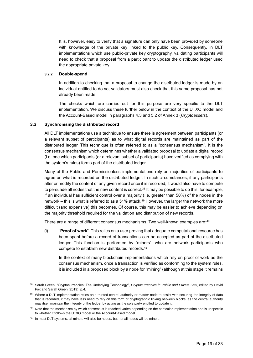It is, however, easy to verify that a signature can only have been provided by someone with knowledge of the private key linked to the public key. Consequently, in DLT implementations which use public-private key cryptography, validating participants will need to check that a proposal from a participant to update the distributed ledger used the appropriate private key.

#### **3.2.2 Double-spend**

In addition to checking that a proposal to change the distributed ledger is made by an individual entitled to do so, validators must also check that this same proposal has not already been made.

The checks which are carried out for this purpose are very specific to the DLT implementation. We discuss these further below in the context of the UTXO model and the Account-Based model in paragraphs 4.3 and 5.2 of Annex 3 (*Cryptoassets*).

#### **3.3 Synchronising the distributed record**

All DLT implementations use a technique to ensure there is agreement between participants (or a relevant subset of participants) as to what digital records are maintained as part of the distributed ledger. This technique is often referred to as a "consensus mechanism". It is the consensus mechanism which determines whether a validated proposal to update a digital record (i.e. one which participants (or a relevant subset of participants) have verified as complying with the system's rules) forms part of the distributed ledger.

Many of the Public and Permissionless implementations rely on majorities of participants to agree on what is recorded on the distributed ledger. In such circumstances, if any participants alter or modify the content of any given record once it is recorded, it would also have to compete to persuade all nodes that the new content is correct.<sup>38</sup> It may be possible to do this, for example, if an individual has sufficient control over a majority (i.e. greater than 50%) of the nodes in the network – this is what is referred to as a 51% attack.<sup>39</sup> However, the larger the network the more difficult (and expensive) this becomes. Of course, this may be easier to achieve depending on the majority threshold required for the validation and distribution of new records.

There are a range of different consensus mechanisms. Two well-known examples are: $^{40}$ 

(i) "**Proof of work**". This relies on a user proving that adequate computational resource has been spent before a record of transactions can be accepted as part of the distributed ledger. This function is performed by "miners", who are network participants who compete to establish new distributed records.<sup>41</sup>

In the context of many blockchain implementations which rely on proof of work as the consensus mechanism, once a transaction is verified as conforming to the system rules, it is included in a proposed block by a node for "mining" (although at this stage it remains

l <sup>38</sup> Sarah Green, "Cryptocurrencies: The Underlying Technology", *Cryptocurrencies in Public and Private Law*, edited by David Fox and Sarah Green (2019), p.4.

<sup>&</sup>lt;sup>39</sup> Where a DLT implementation relies on a trusted central authority or master node to assist with securing the integrity of data that is recorded, it may have less need to rely on this form of cryptographic linking between blocks, as the central authority may itself maintain the integrity of the ledger by acting as the sole party entitled to update it.

<sup>&</sup>lt;sup>40</sup> Note that the mechanism by which consensus is reached varies depending on the particular implementation and is unspecific to whether it follows the UTXO model or the Account-Based model.

<sup>&</sup>lt;sup>41</sup> In most DLT systems, all miners will also be nodes, but not all nodes will be miners.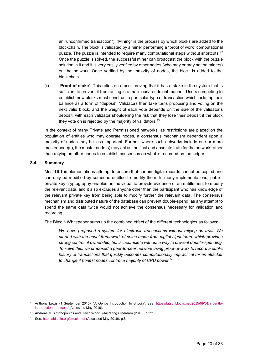an "unconfirmed transaction"). "Mining" is the process by which blocks are added to the blockchain. The block is validated by a miner performing a "proof of work" computational puzzle. The puzzle is intended to require many computational steps without shortcuts.<sup>42</sup> Once the puzzle is solved, the successful miner can broadcast the block with the puzzle solution in it and it is very easily verified by other nodes (who may or may not be miners) on the network. Once verified by the majority of nodes, the block is added to the blockchain.

(ii) "**Proof of stake**". This relies on a user proving that it has a stake in the system that is sufficient to prevent it from acting in a malicious/fraudulent manner. Users competing to establish new blocks must construct a particular type of transaction which locks up their balance as a form of "deposit". Validators then take turns proposing and voting on the next valid block, and the weight of each vote depends on the size of the validator's deposit, with each validator shouldering the risk that they lose their deposit if the block they vote on is rejected by the majority of validators.<sup>43</sup>

In the context of many Private and Permissioned networks, as restrictions are placed on the population of entities who may operate nodes, a consensus mechanism dependent upon a majority of nodes may be less important. Further, where such networks include one or more master node(s), the master node(s) may act as the final and absolute truth for the network rather than relying on other nodes to establish consensus on what is recorded on the ledger.

#### **3.4 Summary**

Most DLT implementations attempt to ensure that certain digital records cannot be copied and can only be modified by someone entitled to modify them. In many implementations, publicprivate key cryptography enables an individual to provide evidence of an entitlement to modify the relevant data, and it also excludes anyone other than the participant who has knowledge of the relevant private key from being able to modify further the relevant data. The consensus mechanism and distributed nature of the database can prevent double-spend, as any attempt to spend the same data twice would not achieve the consensus necessary for validation and recording.

The Bitcoin Whitepaper sums up the combined effect of the different technologies as follows:

*We have proposed a system for electronic transactions without relying on trust. We started with the usual framework of coins made from digital signatures, which provides strong control of ownership, but is incomplete without a way to prevent double-spending. To solve this, we proposed a peer-to-peer network using proof-of-work to record a public history of transactions that quickly becomes computationally impractical for an attacker to change if honest nodes control a majority of CPU power.*<sup>44</sup>

l <sup>42</sup> Anthony Lewis (1 September 2015), "A Gentle Introduction to Bitcoin", See: [https://bitsonblocks.net/2015/09/01/a-gentle](https://bitsonblocks.net/2015/09/01/a-gentle-introduction-to-bitcoin/)[introduction-to-bitcoin/](https://bitsonblocks.net/2015/09/01/a-gentle-introduction-to-bitcoin/) (Accessed May 2019).

<sup>43</sup> Andreas M. Antonopoulos and Gavin Wood, *Mastering Ethereum* (2018), p.321.

<sup>44</sup> See:<https://bitcoin.org/bitcoin.pdf> (Accessed May 2019), p.8.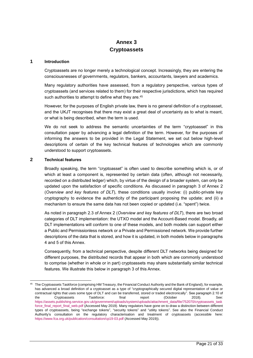# <span id="page-20-0"></span>**Annex 3 Cryptoassets**

#### **1 Introduction**

Cryptoassets are no longer merely a technological concept. Increasingly, they are entering the consciousnesses of governments, regulators, bankers, accountants, lawyers and academics.

Many regulatory authorities have assessed, from a regulatory perspective, various types of cryptoassets (and services related to them) for their respective jurisdictions, which has required such authorities to attempt to define what they are.<sup>45</sup>

However, for the purposes of English private law, there is no general definition of a cryptoasset, and the UKJT recognises that there may exist a great deal of uncertainty as to what is meant, or what is being described, when the term is used.

We do not seek to address the semantic uncertainties of the term "cryptoasset" in this consultation paper by advancing a legal definition of the term. However, for the purposes of informing the answers to be provided in the Legal Statement, we set out below high-level descriptions of certain of the key technical features of technologies which are commonly understood to support cryptoassets.

#### **2 Technical features**

l

Broadly speaking, the term "cryptoasset" is often used to describe something which is, or of which at least a component is, represented by certain data (often, although not necessarily, recorded on a distributed ledger) which, by virtue of the design of a broader system, can only be updated upon the satisfaction of specific conditions. As discussed in paragraph 3 of Annex 2 (*Overview and key features of DLT*), these conditions usually involve: (i) public-private key cryptography to evidence the authenticity of the participant proposing the update; and (ii) a mechanism to ensure the same data has not been copied or updated (i.e. "spent") twice.

As noted in paragraph 2.3 of Annex 2 (*Overview and key features of DLT*), there are two broad categories of DLT implementation: the UTXO model and the Account-Based model. Broadly, all DLT implementations will conform to one of these models, and both models can support either a Public and Permissionless network or a Private and Permissioned network. We provide further descriptions of the data that is stored, and how it is updated, in both models below in paragraphs 4 and 5 of this Annex.

Consequently, from a technical perspective, despite different DLT networks being designed for different purposes, the distributed records that appear in both which are commonly understood to comprise (whether in whole or in part) cryptoassets may share substantially similar technical features. We illustrate this below in paragraph 3 of this Annex.

<sup>&</sup>lt;sup>45</sup> The Cryptoassets Taskforce (comprising HM Treasury, the Financial Conduct Authority and the Bank of England), for example, has advanced a broad definition of a cryptoasset as a type of "cryptographically secured digital representation of value or contractual rights that uses some type of DLT and can be transferred, stored or traded electronically". See paragraph 2.10 of the Cryptoassets Taskforce: final report (October 2018). See: [https://assets.publishing.service.gov.uk/government/uploads/system/uploads/attachment\\_data/file/752070/cryptoassets\\_task](https://assets.publishing.service.gov.uk/government/uploads/system/uploads/attachment_data/file/752070/cryptoassets_taskforce_final_report_final_web.pdf) [force\\_final\\_report\\_final\\_web.pdf](https://assets.publishing.service.gov.uk/government/uploads/system/uploads/attachment_data/file/752070/cryptoassets_taskforce_final_report_final_web.pdf) (Accessed May 2019). Many regulators have gone on to draw a distinction between different types of cryptoassets, being "exchange tokens", "security tokens" and "utility tokens". See also the Financial Conduct Authority's consultation on the regulatory characterisation and treatment of cryptoassets (accessible here: <https://www.fca.org.uk/publication/consultation/cp19-03.pdf> (Accessed May 2019)).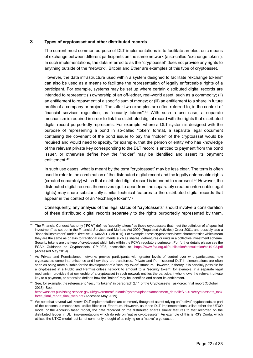#### **3 Types of cryptoasset and other distributed records**

l

The current most common purpose of DLT implementations is to facilitate an electronic means of exchange between different participants on the same network (a so-called "exchange token"). In such implementations, the data referred to as the "cryptoasset" does not provide any rights to anything outside of the "network". Bitcoin and Ether are examples of this type of cryptoasset.

However, the data infrastructure used within a system designed to facilitate "exchange tokens" can also be used as a means to facilitate the representation of legally enforceable rights of a participant. For example, systems may be set up where certain distributed digital records are intended to represent: (i) ownership of an off-ledger, real-world asset, such as a commodity; (ii) an entitlement to repayment of a specific sum of money; or (iii) an entitlement to a share in future profits of a company or project. The latter two examples are often referred to, in the context of financial services regulation, as "security tokens".<sup>46</sup> With such a use case, a separate mechanism is required in order to link the distributed digital record with the rights that distributed digital record purportedly represents. For example, where a DLT system is designed with the purpose of representing a bond in so-called "token" format, a separate legal document containing the covenant of the bond issuer to pay the "holder" of the cryptoasset would be required and would need to specify, for example, that the person or entity who has knowledge of the relevant private key corresponding to the DLT record is entitled to payment from the bond issuer, or otherwise define how the "holder" may be identified and assert its payment entitlement. 47

In such use cases, what is meant by the term "cryptoasset" may be less clear. The term is often used to refer to the combination of the distributed digital record and the legally enforceable rights (created separately) which that distributed digital record is intended to represent. <sup>48</sup> However, the distributed digital records themselves (quite apart from the separately created enforceable legal rights) may share substantially similar technical features to the distributed digital records that appear in the context of an "exchange token". 49

Consequently, any analysis of the legal status of "cryptoassets" should involve a consideration of these distributed digital records separately to the rights purportedly represented by them.

<sup>46</sup> The Financial Conduct Authority ("**FCA**") defines "security tokens" as those cryptoassets that meet the definition of a "specified investment" as set out in the Financial Services and Markets Act 2000 (Regulated Activities) Order 2001, and possibly also a "financial instrument" under Directive 2014/65/EU (MiFID II). For example, these cryptoassets have characteristics which mean they are the same as or akin to traditional instruments such as shares, debentures or units in a collective investment scheme. Security tokens are the type of cryptoasset which falls within the FCA's regulatory perimeter. For further details please see the FCA's Guidance on Cryptoassets, CP19/03, accessible at: <https://www.fca.org.uk/publication/consultation/cp19-03.pdf> (Accessed May 2019).

<sup>&</sup>lt;sup>47</sup> As Private and Permissioned networks provide participants with greater levels of control over who participates, how cryptoassets come into existence and how they are transferred, Private and Permissioned DLT implementations are often seen as being more suitable for the development of a "security token" structure. However, in theory, it is certainly possible for a cryptoasset in a Public and Permissionless network to amount to a "security token", for example, if a separate legal mechanism provides that ownership of a cryptoasset in such network entitles the participant who knows the relevant private key to a payment, or otherwise defines how the "holder" may be identified and assert its entitlement.

<sup>48</sup> See, for example, the reference to "security tokens" in paragraph 2.11 of the Cryptoassets Taskforce: final report (October 2018). See: [https://assets.publishing.service.gov.uk/government/uploads/system/uploads/attachment\\_data/file/752070/cryptoassets\\_task](https://assets.publishing.service.gov.uk/government/uploads/system/uploads/attachment_data/file/752070/cryptoassets_taskforce_final_report_final_web.pdf)

[force\\_final\\_report\\_final\\_web.pdf](https://assets.publishing.service.gov.uk/government/uploads/system/uploads/attachment_data/file/752070/cryptoassets_taskforce_final_report_final_web.pdf) (Accessed May 2019).

<sup>49</sup> We note that several well-known DLT implementations are commonly thought of as not relying on "native" cryptoassets as part of the consensus mechanism, unlike Bitcoin or Ethereum. However, as these DLT implementations utilise either the UTXO model or the Account-Based model, the data recorded on the distributed shares similar features to that recorded on the distributed ledger in DLT implementations which do rely on "native cryptoassets". An example of this is R3's Corda, which utilises the UTXO model, but is not commonly thought of as relying on a "native" cryptoasset.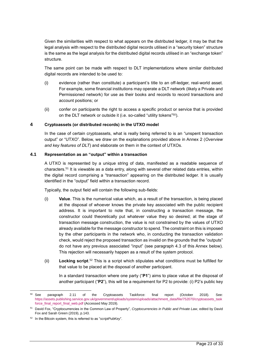Given the similarities with respect to what appears on the distributed ledger, it may be that the legal analysis with respect to the distributed digital records utilised in a "security token" structure is the same as the legal analysis for the distributed digital records utilised in an "exchange token" structure.

The same point can be made with respect to DLT implementations where similar distributed digital records are intended to be used to:

- (i) evidence (rather than constitute) a participant's title to an off-ledger, real-world asset. For example, some financial institutions may operate a DLT network (likely a Private and Permissioned network) for use as their books and records to record transactions and account positions; or
- (ii) confer on participants the right to access a specific product or service that is provided on the DLT network or outside it (i.e. so-called "utility tokens" <sup>50</sup>).

#### **4 Cryptoassets (or distributed records) in the UTXO model**

In the case of certain cryptoassets, what is really being referred to is an "unspent transaction output" or "UTXO". Below, we draw on the explanations provided above in Annex 2 (*Overview and key features of DLT*) and elaborate on them in the context of UTXOs.

#### **4.1 Representation as an "output" within a transaction**

A UTXO is represented by a unique string of data, manifested as a readable sequence of characters.<sup>51</sup> It is viewable as a data entry, along with several other related data entries, within the digital record comprising a "transaction" appearing on the distributed ledger. It is usually identified in the "output" field within a transaction record.

Typically, the output field will contain the following sub-fields:

- (i) **Value**. This is the numerical value which, as a result of the transaction, is being placed at the disposal of whoever knows the private key associated with the public recipient address. It is important to note that, in constructing a transaction message, the constructor could theoretically put whatever value they so desired; at the stage of transaction message construction, the value is not constrained by the values of UTXO already available for the message constructor to spend. The constraint on this is imposed by the other participants in the network who, in conducting the transaction validation check, would reject the proposed transaction as invalid on the grounds that the "outputs" do not have any previous associated "input" (see paragraph 4.3 of this Annex below). This rejection will necessarily happen as a result of the system protocol.
- (ii) **Locking script**. <sup>52</sup> This is a script which stipulates what conditions must be fulfilled for that value to be placed at the disposal of another participant.

In a standard transaction where one party ("**P1**") aims to place value at the disposal of another participant ("**P2**"), this will be a requirement for P2 to provide: (i) P2's public key

<sup>&</sup>lt;sup>50</sup> See paragraph 2.11 of the Cryptoassets Taskforce: final report (October 2018). See: [https://assets.publishing.service.gov.uk/government/uploads/system/uploads/attachment\\_data/file/752070/cryptoassets\\_task](https://assets.publishing.service.gov.uk/government/uploads/system/uploads/attachment_data/file/752070/cryptoassets_taskforce_final_report_final_web.pdf) [force\\_final\\_report\\_final\\_web.pdf](https://assets.publishing.service.gov.uk/government/uploads/system/uploads/attachment_data/file/752070/cryptoassets_taskforce_final_report_final_web.pdf) (Accessed May 2019).

<sup>51</sup> David Fox, "Cryptocurrencies in the Common Law of Property", *Cryptocurrencies in Public and Private Law*, edited by David Fox and Sarah Green (2019), p.143.

<sup>52</sup> In the Bitcoin system, this is referred to as "*scriptPubKey*".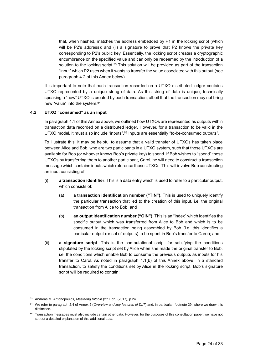that, when hashed, matches the address embedded by P1 in the locking script (which will be P2's address); and (ii) a signature to prove that P2 knows the private key corresponding to P2's public key. Essentially, the locking script creates a cryptographic encumbrance on the specified value and can only be redeemed by the introduction of a solution to the locking script.<sup>53</sup> This solution will be provided as part of the transaction "input" which P2 uses when it wants to transfer the value associated with this output (see paragraph 4.2 of this Annex below).

It is important to note that each transaction recorded on a UTXO distributed ledger contains UTXO represented by a unique string of data. As this string of data is unique, technically speaking a "new" UTXO is created by each transaction, albeit that the transaction may not bring new "value" into the system.<sup>54</sup>

#### **4.2 UTXO "consumed" as an input**

In paragraph 4.1 of this Annex above, we outlined how UTXOs are represented as outputs within transaction data recorded on a distributed ledger. However, for a transaction to be valid in the UTXO model, it must also include "inputs". <sup>55</sup> Inputs are essentially "to-be-consumed outputs".

To illustrate this, it may be helpful to assume that a valid transfer of UTXOs has taken place between Alice and Bob, who are two participants in a UTXO system, such that those UTXOs are available for Bob (or whoever knows Bob's private key) to spend. If Bob wishes to "spend" those UTXOs by transferring them to another participant, Carol, he will need to construct a transaction message which contains inputs which reference those UTXOs. This will involve Bob constructing an input consisting of:

- (i) **a transaction identifier**. This is a data entry which is used to refer to a particular output, which consists of:
	- (a) **a transaction identification number ("TIN")**. This is used to uniquely identify the particular transaction that led to the creation of this input, i.e. the original transaction from Alice to Bob; and
	- (b) **an output identification number ("OIN")**. This is an "index" which identifies the specific output which was transferred from Alice to Bob and which is to be consumed in the transaction being assembled by Bob (i.e. this identifies a particular output (or set of outputs) to be spent in Bob's transfer to Carol); and
- (ii) **a signature script**. This is the computational script for satisfying the conditions stipulated by the locking script set by Alice when she made the original transfer to Bob, i.e. the conditions which enable Bob to consume the previous outputs as inputs for his transfer to Carol. As noted in paragraph 4.1(b) of this Annex above, in a standard transaction, to satisfy the conditions set by Alice in the locking script, Bob's signature script will be required to contain:

<sup>&</sup>lt;sup>53</sup> Andreas M. Antonopoulos, Mastering Bitcoin (2<sup>nd</sup> Edn) (2017), p.24.

<sup>54</sup> We refer to paragraph 2.4 of Annex 2 (*Overview and key features of DLT*) and, in particular, footnote 29, where we draw this distinction.

<sup>&</sup>lt;sup>55</sup> Transaction messages must also include certain other data. However, for the purposes of this consultation paper, we have not set out a detailed explanation of this additional data.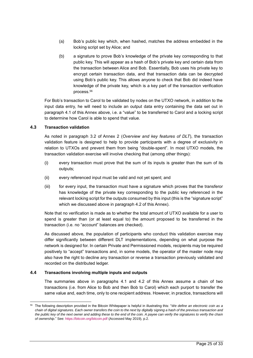- (a) Bob's public key which, when hashed, matches the address embedded in the locking script set by Alice; and
- (b) a signature to prove Bob's knowledge of the private key corresponding to that public key. This will appear as a hash of Bob's private key and certain data from the transaction between Alice and Bob. Essentially, Bob uses his private key to encrypt certain transaction data, and that transaction data can be decrypted using Bob's public key. This allows anyone to check that Bob did indeed have knowledge of the private key, which is a key part of the transaction verification process.<sup>56</sup>

For Bob's transaction to Carol to be validated by nodes on the UTXO network, in addition to the input data entry, he will need to include an output data entry containing the data set out in paragraph 4.1 of this Annex above, i.e. a "value" to be transferred to Carol and a locking script to determine how Carol is able to spend that value.

#### **4.3 Transaction validation**

l

As noted in paragraph 3.2 of Annex 2 (*Overview and key features of DLT*), the transaction validation feature is designed to help to provide participants with a degree of exclusivity in relation to UTXOs and prevent them from being "double-spent". In most UTXO models, the transaction validation exercise will involve checking that (among other things):

- (i) every transaction must prove that the sum of its inputs is greater than the sum of its outputs;
- (ii) every referenced input must be valid and not yet spent; and
- (iii) for every input, the transaction must have a signature which proves that the transferor has knowledge of the private key corresponding to the public key referenced in the relevant locking script for the outputs consumed by this input (this is the "signature script" which we discussed above in paragraph 4.2 of this Annex).

Note that no verification is made as to whether the total amount of UTXO available for a user to spend is greater than (or at least equal to) the amount proposed to be transferred in the transaction (i.e. no "account" balances are checked).

As discussed above, the population of participants who conduct this validation exercise may differ significantly between different DLT implementations, depending on what purpose the network is designed for. In certain Private and Permissioned models, recipients may be required positively to "accept" transactions and, in some models, the operator of the master node may also have the right to decline any transaction or reverse a transaction previously validated and recorded on the distributed ledger.

#### **4.4 Transactions involving multiple inputs and outputs**

The summaries above in paragraphs 4.1 and 4.2 of this Annex assume a chain of two transactions (i.e. from Alice to Bob and then Bob to Carol) which each purport to transfer the same value and, each time, only to one recipient address. However, in practice, transactions will

<sup>56</sup> The following description provided in the Bitcoin Whitepaper is helpful in illustrating this: "*We define an electronic coin as a chain of digital signatures. Each owner transfers the coin to the next by digitally signing a hash of the previous transaction and the public key of the next owner and adding these to the end of the coin. A payee can verify the signatures to verify the chain of ownership*." See[: https://bitcoin.org/bitcoin.pdf](https://bitcoin.org/bitcoin.pdf) (Accessed May 2019), p.2.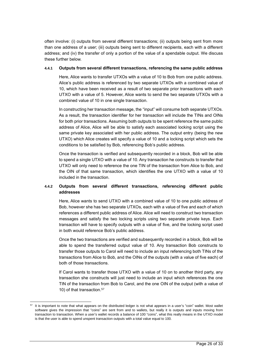often involve: (i) outputs from several different transactions; (ii) outputs being sent from more than one address of a user; (iii) outputs being sent to different recipients, each with a different address; and (iv) the transfer of only a portion of the value of a spendable output. We discuss these further below.

#### **4.4.1 Outputs from several different transactions, referencing the same public address**

Here, Alice wants to transfer UTXOs with a value of 10 to Bob from one public address. Alice's public address is referenced by two separate UTXOs with a combined value of 10, which have been received as a result of two separate prior transactions with each UTXO with a value of 5. However, Alice wants to send the two separate UTXOs with a combined value of 10 in one single transaction.

In constructing her transaction message, the "input" will consume both separate UTXOs. As a result, the transaction identifier for her transaction will include the TINs and OINs for both prior transactions. Assuming both outputs to be spent reference the same public address of Alice, Alice will be able to satisfy each associated locking script using the same private key associated with her public address. The output entry (being the new UTXO) which Alice creates will specify a value of 10 and a locking script which sets the conditions to be satisfied by Bob, referencing Bob's public address.

Once the transaction is verified and subsequently recorded in a block, Bob will be able to spend a single UTXO with a value of 10. Any transaction he constructs to transfer that UTXO will only need to reference the one TIN of the transaction from Alice to Bob, and the OIN of that same transaction, which identifies the one UTXO with a value of 10 included in the transaction.

# **4.4.2 Outputs from several different transactions, referencing different public addresses**

Here, Alice wants to send UTXO with a combined value of 10 to one public address of Bob, however she has two separate UTXOs, each with a value of five and each of which references a different public address of Alice. Alice will need to construct two transaction messages and satisfy the two locking scripts using two separate private keys. Each transaction will have to specify outputs with a value of five, and the locking script used in both would reference Bob's public address.

Once the two transactions are verified and subsequently recorded in a block, Bob will be able to spend the transferred output value of 10. Any transaction Bob constructs to transfer those outputs to Carol will need to include an input referencing both TINs of the transactions from Alice to Bob, and the OINs of the outputs (with a value of five each) of both of those transactions.

If Carol wants to transfer those UTXO with a value of 10 on to another third party, any transaction she constructs will just need to include an input which references the one TIN of the transaction from Bob to Carol, and the one OIN of the output (with a value of 10) of that transaction.<sup>57</sup>

<sup>&</sup>lt;sup>57</sup> It is important to note that what appears on the distributed ledger is not what appears in a user's "coin" wallet. Most wallet software gives the impression that "coins" are sent from and to wallets, but really it is outputs and inputs moving from transaction to transaction. When a user's wallet records a balance of 100 "coins", what this really means in the UTXO model is that the user is able to spend unspent transaction outputs with a total value equal to 100.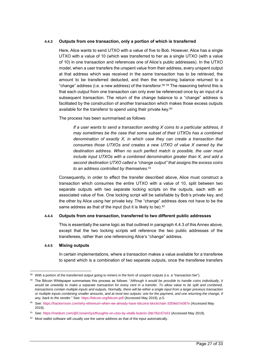#### **4.4.3 Outputs from one transaction, only a portion of which is transferred**

Here, Alice wants to send UTXO with a value of five to Bob. However, Alice has a single UTXO with a value of 10 (which was transferred to her as a single UTXO (with a value of 10) in one transaction and references one of Alice's public addresses). In the UTXO model, when a user transfers the unspent value from their address, every unspent output at that address which was received in the same transaction has to be retrieved, the amount to be transferred deducted, and then the remaining balance returned to a "change" address (i.e. a new address) of the transferor. $^{58}$   $^{59}$  The reasoning behind this is that each output from one transaction can only ever be referenced once by an input of a subsequent transaction. The return of the change balance to a "change" address is facilitated by the construction of another transaction which makes those excess outputs available for the transferor to spend using their private key.<sup>60</sup>

The process has been summarised as follows:

*If a user wants to send a transaction sending X coins to a particular address, it may sometimes be the case that some subset of their UTXOs has a combined denomination of exactly X, in which case they can create a transaction that consumes those UTXOs and creates a new UTXO of value X owned by the destination address. When no such perfect match is possible, the user must include input UTXOs with a combined denomination greater than X, and add a second destination UTXO called a "change output" that assigns the excess coins to an address controlled by themselves.<sup>61</sup>*

Consequently, in order to effect the transfer described above, Alice must construct a transaction which consumes the entire UTXO with a value of 10, split between two separate outputs with two separate locking scripts on the outputs, each with an associated value of five. One locking script will be satisfiable by Bob's private key, and the other by Alice using her private key. The "change" address does not have to be the same address as that of the input (but it is likely to be).<sup>62</sup>

#### **4.4.4 Outputs from one transaction, transferred to two different public addresses**

This is essentially the same logic as that outlined in paragraph 4.4.3 of this Annex above, except that the two locking scripts will reference the two public addresses of the transferees, rather than one referencing Alice's "change" address.

#### **4.4.5 Mixing outputs**

l

In certain implementations, where a transaction makes a value available for a transferee to spend which is a combination of two separate outputs, once the transferee transfers

<sup>&</sup>lt;sup>58</sup> With a portion of the transferred output going to miners in the form of unspent outputs (i.e. a "transaction fee").

<sup>59</sup> The Bitcoin Whitepaper summarises this process as follows: "*Although it would be possible to handle coins individually, it*  would be unwieldy to make a separate transaction for every cent in a transfer. To allow value to be split and combined, *transactions contain multiple inputs and outputs. Normally, there will be either a single input from a larger previous transaction or multiple inputs combining smaller amounts, and at most two outputs: one for the payment, and one returning the change, if any, back to the sender*." See[: https://bitcoin.org/bitcoin.pdf](https://bitcoin.org/bitcoin.pdf) (Accessed May 2019), p.5.

<sup>60</sup> See:<https://hackernoon.com/why-ethereum-when-we-already-have-bitcoins-blockchain-3359eb7e087e> (Accessed May 2019).

<sup>61</sup> See:<https://medium.com/@ConsenSys/thoughts-on-utxo-by-vitalik-buterin-2bb782c67e53> (Accessed May 2019).

 $62$  Most wallet software will usually use the same address as that of the input automatically.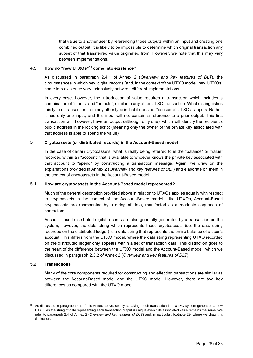that value to another user by referencing those outputs within an input and creating one combined output, it is likely to be impossible to determine which original transaction any subset of that transferred value originated from. However, we note that this may vary between implementations.

#### **4.5 How do "new UTXOs"** <sup>63</sup> **come into existence?**

As discussed in paragraph 2.4.1 of Annex 2 (*Overview and key features of DLT*), the circumstances in which new digital records (and, in the context of the UTXO model, new UTXOs) come into existence vary extensively between different implementations.

In every case, however, the introduction of value requires a transaction which includes a combination of "inputs" and "outputs", similar to any other UTXO transaction. What distinguishes this type of transaction from any other type is that it does not "consume" UTXO as inputs. Rather, it has only one input, and this input will not contain a reference to a prior output. This first transaction will, however, have an output (although only one), which will identify the recipient's public address in the locking script (meaning only the owner of the private key associated with that address is able to spend the value).

#### **5 Cryptoassets (or distributed records) in the Account-Based model**

In the case of certain cryptoassets, what is really being referred to is the "balance" or "value" recorded within an "account" that is available to whoever knows the private key associated with that account to "spend" by constructing a transaction message. Again, we draw on the explanations provided in Annex 2 (*Overview and key features of DLT*) and elaborate on them in the context of cryptoassets in the Account-Based model.

#### **5.1 How are cryptoassets in the Account-Based model represented?**

Much of the general description provided above in relation to UTXOs applies equally with respect to cryptoassets in the context of the Account-Based model. Like UTXOs, Account-Based cryptoassets are represented by a string of data, manifested as a readable sequence of characters.

Account-based distributed digital records are also generally generated by a transaction on the system, however, the data string which represents those cryptoassets (i.e. the data string recorded on the distributed ledger) is a data string that represents the entire balance of a user's account. This differs from the UTXO model, where the data string representing UTXO recorded on the distributed ledger only appears within a set of transaction data. This distinction goes to the heart of the difference between the UTXO model and the Account-Based model, which we discussed in paragraph 2.3.2 of Annex 2 (*Overview and key features of DLT*).

#### **5.2 Transactions**

l

Many of the core components required for constructing and effecting transactions are similar as between the Account-Based model and the UTXO model. However, there are two key differences as compared with the UTXO model:

 $63$  As discussed in paragraph 4.1 of this Annex above, strictly speaking, each transaction in a UTXO system generates a new UTXO, as the string of data representing each transaction output is unique even if its associated value remains the same. We refer to paragraph 2.4 of Annex 2 (*Overview and key features of DLT*) and, in particular, footnote 29, where we draw this distinction.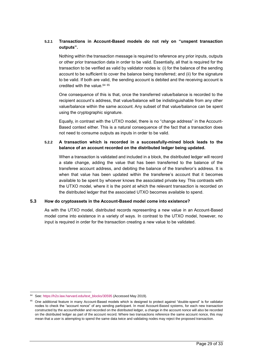#### **5.2.1 Transactions in Account-Based models do not rely on "unspent transaction outputs".**

Nothing within the transaction message is required to reference any prior inputs, outputs or other prior transaction data in order to be valid. Essentially, all that is required for the transaction to be verified as valid by validator nodes is: (i) for the balance of the sending account to be sufficient to cover the balance being transferred; and (ii) for the signature to be valid. If both are valid, the sending account is debited and the receiving account is credited with the value. 64 65

One consequence of this is that, once the transferred value/balance is recorded to the recipient account's address, that value/balance will be indistinguishable from any other value/balance within the same account. Any subset of that value/balance can be spent using the cryptographic signature.

Equally, in contrast with the UTXO model, there is no "change address" in the Account-Based context either. This is a natural consequence of the fact that a transaction does not need to consume outputs as inputs in order to be valid.

#### **5.2.2 A transaction which is recorded in a successfully-mined block leads to the balance of an account recorded on the distributed ledger being updated.**

When a transaction is validated and included in a block, the distributed ledger will record a state change, adding the value that has been transferred to the balance of the transferee account address, and debiting the balance of the transferor's address. It is when that value has been updated within the transferee's account that it becomes available to be spent by whoever knows the associated private key. This contrasts with the UTXO model, where it is the point at which the relevant transaction is recorded on the distributed ledger that the associated UTXO becomes available to spend.

#### **5.3 How do cryptoassets in the Account-Based model come into existence?**

As with the UTXO model, distributed records representing a new value in an Account-Based model come into existence in a variety of ways. In contrast to the UTXO model, however, no input is required in order for the transaction creating a new value to be validated.

l <sup>64</sup> See: [https://h2o.law.harvard.edu/text\\_blocks/30595](https://h2o.law.harvard.edu/text_blocks/30595) (Accessed May 2019).

<sup>&</sup>lt;sup>65</sup> One additional feature in many Account-Based models which is designed to protect against "double-spend" is for validator nodes to check the "account nonce" of any sending participant. In most Account-Based systems, for each new transaction constructed by the accountholder and recorded on the distributed ledger, a change in the account nonce will also be recorded on the distributed ledger as part of the account record. Where two transactions reference the same account nonce, this may mean that a user is attempting to spend the same data twice and validating nodes may reject the proposed transaction.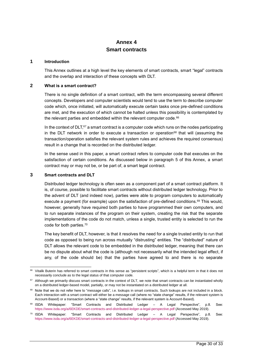# <span id="page-29-0"></span>**Annex 4 Smart contracts**

#### **1 Introduction**

This Annex outlines at a high level the key elements of smart contracts, smart "legal" contracts and the overlap and interaction of these concepts with DLT.

#### **2 What is a smart contract?**

There is no single definition of a smart contract, with the term encompassing several different concepts. Developers and computer scientists would tend to use the term to describe computer code which, once initiated, will automatically execute certain tasks once pre-defined conditions are met, and the execution of which cannot be halted unless this possibility is contemplated by the relevant parties and embedded within the relevant computer code.<sup>66</sup>

In the context of DLT,<sup>67</sup> a smart contract is a computer code which runs on the nodes participating in the DLT network in order to execute a transaction or operation<sup>68</sup> that will (assuming the transaction/operation satisfies the relevant system rules and achieves the required consensus) result in a change that is recorded on the distributed ledger.

In the sense used in this paper, a smart contract refers to computer code that executes on the satisfaction of certain conditions. As discussed below in paragraph 5 of this Annex, a smart contract may or may not be, or be part of, a smart legal contract.

#### **3 Smart contracts and DLT**

l

Distributed ledger technology is often seen as a component part of a smart contract platform. It is, of course, possible to facilitate smart contracts without distributed ledger technology. Prior to the advent of DLT (and indeed now), parties were able to program computers to automatically execute a payment (for example) upon the satisfaction of pre-defined conditions.<sup>69</sup> This would, however, generally have required both parties to have programmed their own computers, and to run separate instances of the program on their system, creating the risk that the separate implementations of the code do not match, unless a single, trusted entity is selected to run the code for both parties. 70

The key benefit of DLT, however, is that it resolves the need for a single trusted entity to run that code as opposed to being run across mutually "distrusting" entities. The "distributed" nature of DLT allows the relevant code to be embedded in the distributed ledger, meaning that there can be no dispute about what the code is (although not necessarily what the intended legal effect, if any, of the code should be) that the parties have agreed to and there is no separate

<sup>&</sup>lt;sup>66</sup> Vitalik Buterin has referred to smart contracts in this sense as "persistent scripts", which is a helpful term in that it does not necessarily conclude as to the legal status of that computer code.

<sup>&</sup>lt;sup>67</sup> Although we primarily discuss smart contracts in the context of DLT, we note that smart contracts can be instantiated wholly on a distributed ledger-based model, partially, or may not be instantiated on a distributed ledger at all.

<sup>&</sup>lt;sup>68</sup> Note that we do not refer here to "message calls", i.e. lookups in smart contracts. Such lookups are not included in a block. Each interaction with a smart contract will either be a message call (where no "state change" results, if the relevant system is Account-Based) or a transaction (where a "state change" results, if the relevant system is Account-Based).

<sup>69</sup> ISDA Whitepaper: "Smart Contracts and Distributed Ledger – A Legal Perspective", p.8. See: <https://www.isda.org/a/6EKDE/smart-contracts-and-distributed-ledger-a-legal-perspective.pdf> (Accessed May 2019).

 $70$  ISDA Whitepaper: "Smart Contracts and Distributed Ledger  $-$  A Legal Perspective", p.8. See: <https://www.isda.org/a/6EKDE/smart-contracts-and-distributed-ledger-a-legal-perspective.pdf> (Accessed May 2019).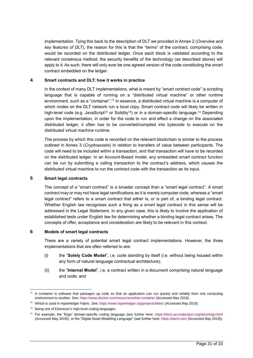implementation. Tying this back to the description of DLT we provided in Annex 2 (*Overview and key features of DLT*), the reason for this is that the "terms" of the contract, comprising code, would be recorded on the distributed ledger. Once each block is validated according to the relevant consensus method, the security benefits of the technology (as described above) will apply to it. As such, there will only ever be one agreed version of the code constituting the smart contract embedded on the ledger.

#### **4 Smart contracts and DLT: how it works in practice**

In the context of many DLT implementations, what is meant by "smart contract code" is scripting language that is capable of running on a "distributed virtual machine" or other runtime environment, such as a "container".<sup>71</sup> In essence, a distributed virtual machine is a computer of which nodes on the DLT network run a local copy. Smart contract code will likely be written in high-level code (e.g. JavaScript<sup>72</sup> or Solidity<sup>73</sup>) or in a domain-specific language.<sup>74</sup> Depending upon the implementation, in order for the code to run and effect a change on the associated distributed ledger, it often has to be converted/compiled into bytecode to execute on the distributed virtual machine runtime.

The process by which this code is recorded on the relevant blockchain is similar to the process outlined in Annex 3 (*Cryptoassets*) in relation to transfers of value between participants. The code will need to be included within a transaction, and that transaction will have to be recorded on the distributed ledger. In an Account-Based model, any embedded smart contract function can be run by submitting a calling transaction to the contract's address, which causes the distributed virtual machine to run the contract code with the transaction as its input.

#### **5 Smart legal contracts**

The concept of a "smart contract" is a broader concept than a "smart legal contract". A smart contract may or may not have legal ramifications as it is merely computer code, whereas a "smart legal contract" refers to a smart contract that either is, or is part of, a binding legal contract. Whether English law recognises such a thing as a smart legal contract in this sense will be addressed in the Legal Statement. In any given case, this is likely to involve the application of established tests under English law for determining whether a binding legal contract arises. The concepts of offer, acceptance and consideration are likely to be relevant in this context.

#### **6 Models of smart legal contracts**

There are a variety of potential smart legal contract implementations. However, the three implementations that are often referred to are:

- (i) the "**Solely Code Model**", i.e. code standing by itself (i.e. without being housed within any form of natural language contractual architecture);
- (ii) the "**Internal Model**", i.e. a contract written in a document comprising natural language and code; and

l  $71$  A container is software that packages up code so that an application can run quickly and reliably from one computing environment to another. See[: https://www.docker.com/resources/what-container](https://www.docker.com/resources/what-container) (Accessed May 2019).

<sup>72</sup> Which is used in Hyperledger Fabric. See:<https://www.hyperledger.org/projects/fabric> (Accessed May 2019).

<sup>&</sup>lt;sup>73</sup> Being one of Ethereum's high-level coding languages.

<sup>74</sup> For example, the "Ergo" domain-specific coding language (see further here:<https://docs.accordproject.org/docs/ergo.html> (Accessed May 2019)) or the "Digital Asset Modelling Language" (see further here:<https://daml.com/> (Accessed May 2019)).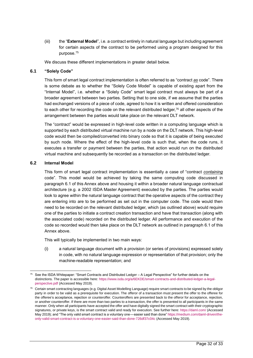(iii) the "**External Model**", i.e. a contract entirely in natural language but including agreement for certain aspects of the contract to be performed using a program designed for this purpose.<sup>75</sup>

We discuss these different implementations in greater detail below.

#### **6.1 "Solely Code"**

This form of smart legal contract implementation is often referred to as "contract *as* code". There is some debate as to whether the "Solely Code Model" is capable of existing apart from the "Internal Model", i.e. whether a "Solely Code" smart legal contract must always be part of a broader agreement between two parties. Setting that to one side, if we assume that the parties had exchanged versions of a piece of code, agreed to how it is written and offered consideration to each other for recording the code on the relevant distributed ledger, $^{76}$  all other aspects of the arrangement between the parties would take place on the relevant DLT network.

The "contract" would be expressed in high-level code written in a computing language which is supported by each distributed virtual machine run by a node on the DLT network. This high-level code would then be compiled/converted into binary code so that it is capable of being executed by such node. Where the effect of the high-level code is such that, when the code runs, it executes a transfer or payment between the parties, that action would run on the distributed virtual machine and subsequently be recorded as a transaction on the distributed ledger.

#### **6.2 Internal Model**

This form of smart legal contract implementation is essentially a case of "contract *containing* code". This model would be achieved by taking the same computing code discussed in paragraph 6.1 of this Annex above and housing it within a broader natural language contractual architecture (e.g. a 2002 ISDA Master Agreement) executed by the parties. The parties would look to agree within the natural language contract that the operative aspects of the contract they are entering into are to be performed as set out in the computer code. The code would then need to be recorded on the relevant distributed ledger, which (as outlined above) would require one of the parties to initiate a contract creation transaction and have that transaction (along with the associated code) recorded on the distributed ledger. All performance and execution of the code so recorded would then take place on the DLT network as outlined in paragraph 6.1 of this Annex above.

This will typically be implemented in two main ways:

(i) a natural language document with a provision (or series of provisions) expressed solely in code, with no natural language expression or representation of that provision; only the machine-readable representation; and

l See the ISDA Whitepaper: "Smart Contracts and Distributed Ledger – A Legal Perspective" for further details on the distinctions. The paper is accessible here: [https://www.isda.org/a/6EKDE/smart-contracts-and-distributed-ledger-a-legal](https://www.isda.org/a/6EKDE/smart-contracts-and-distributed-ledger-a-legal-perspective.pdf)[perspective.pdf](https://www.isda.org/a/6EKDE/smart-contracts-and-distributed-ledger-a-legal-perspective.pdf) (Accessed May 2019).

 $76$  Certain smart contracting languages (e.g. Digital Asset Modelling Language) require smart contracts to be signed by the obligor party in order to be valid as a prerequisite for execution. The offeror of a transaction must present the offer to the offeree for the offeree's acceptance, rejection or counteroffer. Counteroffers are presented back to the offeror for acceptance, rejection, or another counteroffer. If there are more than two parties to a transaction, the offer is presented to all participants in the same manner. Only when all participants have accepted the offer and have digitally signed the smart contract with their cryptographic signatures, or private keys, is the smart contract valid and ready for execution. See further here:<https://daml.com/> (Accessed May 2019); and "The only valid smart contract is a voluntary one—easier said than done" [https://medium.com/daml-driven/the](https://medium.com/daml-driven/the-only-valid-smart-contract-is-a-voluntary-one-easier-said-than-done-726df37c04c)[only-valid-smart-contract-is-a-voluntary-one-easier-said-than-done-726df37c04c](https://medium.com/daml-driven/the-only-valid-smart-contract-is-a-voluntary-one-easier-said-than-done-726df37c04c) (Accessed May 2019).